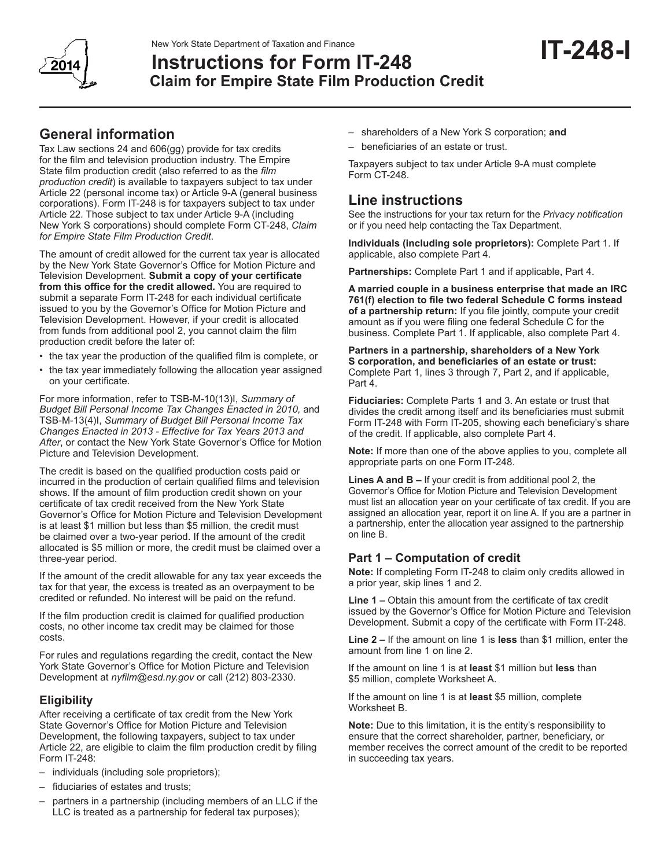

# **Instructions for Form IT-248 Claim for Empire State Film Production Credit**

Tax Law sections 24 and 606(gg) provide for tax credits for the film and television production industry. The Empire State film production credit (also referred to as the *film production credit*) is available to taxpayers subject to tax under Article 22 (personal income tax) or Article 9-A (general business corporations). Form IT-248 is for taxpayers subject to tax under Article 22. Those subject to tax under Article 9-A (including New York S corporations) should complete Form CT-248, *Claim for Empire State Film Production Credit*.

The amount of credit allowed for the current tax year is allocated by the New York State Governor's Office for Motion Picture and Television Development. **Submit a copy of your certificate from this office for the credit allowed.** You are required to submit a separate Form IT-248 for each individual certificate issued to you by the Governor's Office for Motion Picture and Television Development. However, if your credit is allocated from funds from additional pool 2, you cannot claim the film production credit before the later of:

- the tax year the production of the qualified film is complete, or
- the tax year immediately following the allocation year assigned on your certificate.

For more information, refer to TSB-M-10(13)I, *Summary of Budget Bill Personal Income Tax Changes Enacted in 2010,* and TSB-M-13(4)I, *Summary of Budget Bill Personal Income Tax Changes Enacted in 2013 - Effective for Tax Years 2013 and After*, or contact the New York State Governor's Office for Motion Picture and Television Development.

The credit is based on the qualified production costs paid or incurred in the production of certain qualified films and television shows. If the amount of film production credit shown on your certificate of tax credit received from the New York State Governor's Office for Motion Picture and Television Development is at least \$1 million but less than \$5 million, the credit must be claimed over a two-year period. If the amount of the credit allocated is \$5 million or more, the credit must be claimed over a three-year period.

If the amount of the credit allowable for any tax year exceeds the tax for that year, the excess is treated as an overpayment to be credited or refunded. No interest will be paid on the refund.

If the film production credit is claimed for qualified production costs, no other income tax credit may be claimed for those costs.

For rules and regulations regarding the credit, contact the New York State Governor's Office for Motion Picture and Television Development at *nyfilm@esd.ny.gov* or call (212) 803-2330.

# **Eligibility**

After receiving a certificate of tax credit from the New York State Governor's Office for Motion Picture and Television Development, the following taxpayers, subject to tax under Article 22, are eligible to claim the film production credit by filing Form IT-248:

- individuals (including sole proprietors);
- fiduciaries of estates and trusts;
- partners in a partnership (including members of an LLC if the LLC is treated as a partnership for federal tax purposes);
- shareholders of a New York S corporation; **and**
- beneficiaries of an estate or trust.

Taxpayers subject to tax under Article 9-A must complete Form CT-248.

# **Line instructions**

See the instructions for your tax return for the *Privacy notification*  or if you need help contacting the Tax Department.

**IT-248-I**

**Individuals (including sole proprietors):** Complete Part 1. If applicable, also complete Part 4.

**Partnerships:** Complete Part 1 and if applicable, Part 4.

**A married couple in a business enterprise that made an IRC 761(f) election to file two federal Schedule C forms instead of a partnership return:** If you file jointly, compute your credit amount as if you were filing one federal Schedule C for the business. Complete Part 1. If applicable, also complete Part 4.

**Partners in a partnership, shareholders of a New York S corporation, and beneficiaries of an estate or trust:**  Complete Part 1, lines 3 through 7, Part 2, and if applicable, Part 4.

**Fiduciaries:** Complete Parts 1 and 3. An estate or trust that divides the credit among itself and its beneficiaries must submit Form IT-248 with Form IT-205, showing each beneficiary's share of the credit. If applicable, also complete Part 4.

**Note:** If more than one of the above applies to you, complete all appropriate parts on one Form IT-248.

**Lines A and B –** If your credit is from additional pool 2, the Governor's Office for Motion Picture and Television Development must list an allocation year on your certificate of tax credit. If you are assigned an allocation year, report it on line A. If you are a partner in a partnership, enter the allocation year assigned to the partnership on line B.

# **Part 1 – Computation of credit**

**Note:** If completing Form IT-248 to claim only credits allowed in a prior year, skip lines 1 and 2.

**Line 1 –** Obtain this amount from the certificate of tax credit issued by the Governor's Office for Motion Picture and Television Development. Submit a copy of the certificate with Form IT-248.

**Line 2 –** If the amount on line 1 is **less** than \$1 million, enter the amount from line 1 on line 2.

If the amount on line 1 is at **least** \$1 million but **less** than \$5 million, complete Worksheet A.

If the amount on line 1 is at **least** \$5 million, complete Worksheet B.

**Note:** Due to this limitation, it is the entity's responsibility to ensure that the correct shareholder, partner, beneficiary, or member receives the correct amount of the credit to be reported in succeeding tax years.